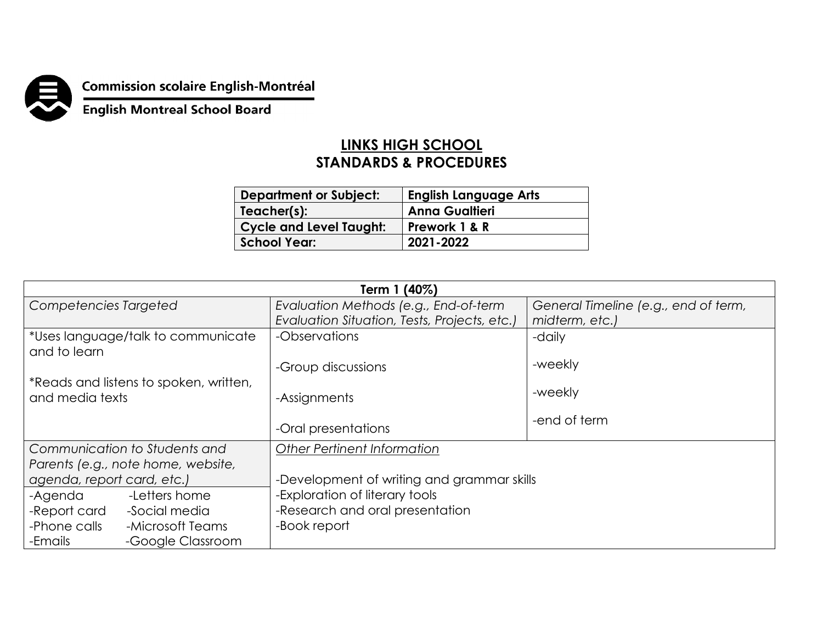

**Commission scolaire English-Montréal<br>English Montreal School Board** 

## **LINKS HIGH SCHOOL STANDARDS & PROCEDURES**

| <b>Department or Subject:</b>  | <b>English Language Arts</b> |
|--------------------------------|------------------------------|
| Teacher(s):                    | <b>Anna Gualtieri</b>        |
| <b>Cycle and Level Taught:</b> | Prework 1 & R                |
| <b>School Year:</b>            | 2021-2022                    |

| Term 1 (40%)                                              |                                              |                                      |  |
|-----------------------------------------------------------|----------------------------------------------|--------------------------------------|--|
| Competencies Targeted                                     | Evaluation Methods (e.g., End-of-term        | General Timeline (e.g., end of term, |  |
|                                                           | Evaluation Situation, Tests, Projects, etc.) | midterm, etc.)                       |  |
| *Uses language/talk to communicate<br>and to learn        | -Observations                                | -daily                               |  |
|                                                           | -Group discussions                           | -weekly                              |  |
| *Reads and listens to spoken, written,<br>and media texts | -Assignments                                 | -weekly                              |  |
|                                                           | -Oral presentations                          | -end of term                         |  |
| Communication to Students and                             | <b>Other Pertinent Information</b>           |                                      |  |
| Parents (e.g., note home, website,                        |                                              |                                      |  |
| agenda, report card, etc.)                                | -Development of writing and grammar skills   |                                      |  |
| -Letters home<br>-Agenda                                  | -Exploration of literary tools               |                                      |  |
| -Social media<br>-Report card                             | -Research and oral presentation              |                                      |  |
| -Phone calls<br>-Microsoft Teams                          | -Book report                                 |                                      |  |
| -Emails<br>-Google Classroom                              |                                              |                                      |  |